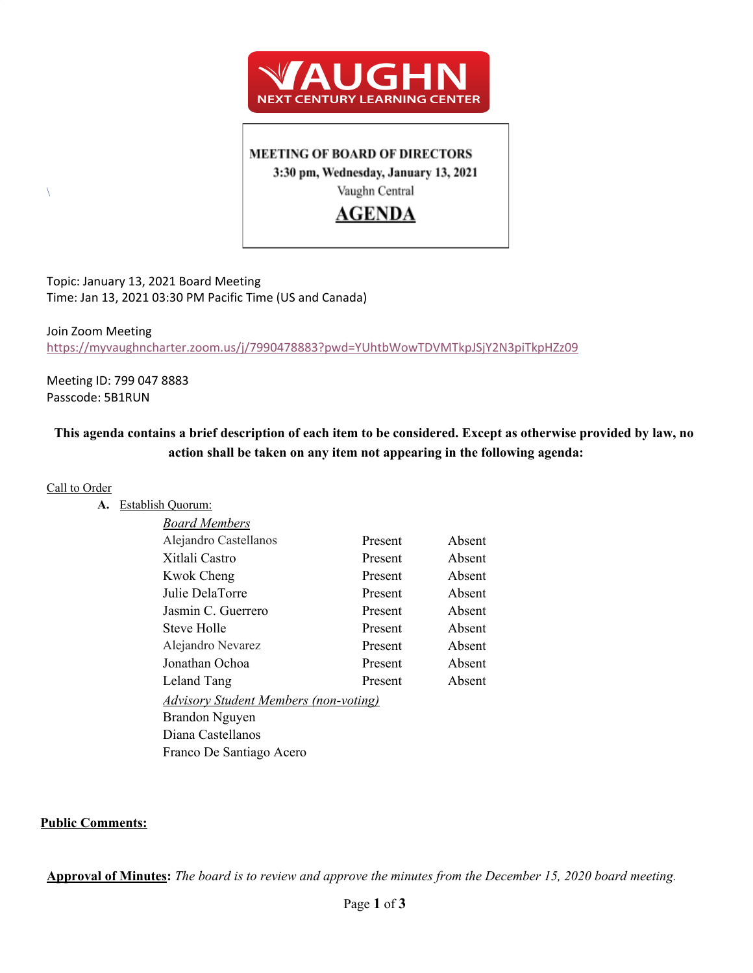

### **MEETING OF BOARD OF DIRECTORS**

3:30 pm, Wednesday, January 13, 2021

Vaughn Central

# **AGENDA**

Topic: January 13, 2021 Board Meeting Time: Jan 13, 2021 03:30 PM Pacific Time (US and Canada)

### Join Zoom Meeting <https://myvaughncharter.zoom.us/j/7990478883?pwd=YUhtbWowTDVMTkpJSjY2N3piTkpHZz09>

Meeting ID: 799 047 8883 Passcode: 5B1RUN

## This agenda contains a brief description of each item to be considered. Except as otherwise provided by law, no **action shall be taken on any item not appearing in the following agenda:**

#### Call to Order

 $\setminus$ 

**A.** Establish Quorum:

| Board Members                                |         |        |
|----------------------------------------------|---------|--------|
| Alejandro Castellanos                        | Present | Absent |
| Xitlali Castro                               | Present | Absent |
| Kwok Cheng                                   | Present | Absent |
| Julie DelaTorre                              | Present | Absent |
| Jasmin C. Guerrero                           | Present | Absent |
| Steve Holle                                  | Present | Absent |
| Alejandro Nevarez                            | Present | Absent |
| Jonathan Ochoa                               | Present | Absent |
| Leland Tang                                  | Present | Absent |
| <b>Advisory Student Members (non-voting)</b> |         |        |
| Brandon Nguyen                               |         |        |
| Diana Castellanos                            |         |        |
| Franco De Santiago Acero                     |         |        |
|                                              |         |        |

### **Public Comments:**

Approval of Minutes: The board is to review and approve the minutes from the December 15, 2020 board meeting.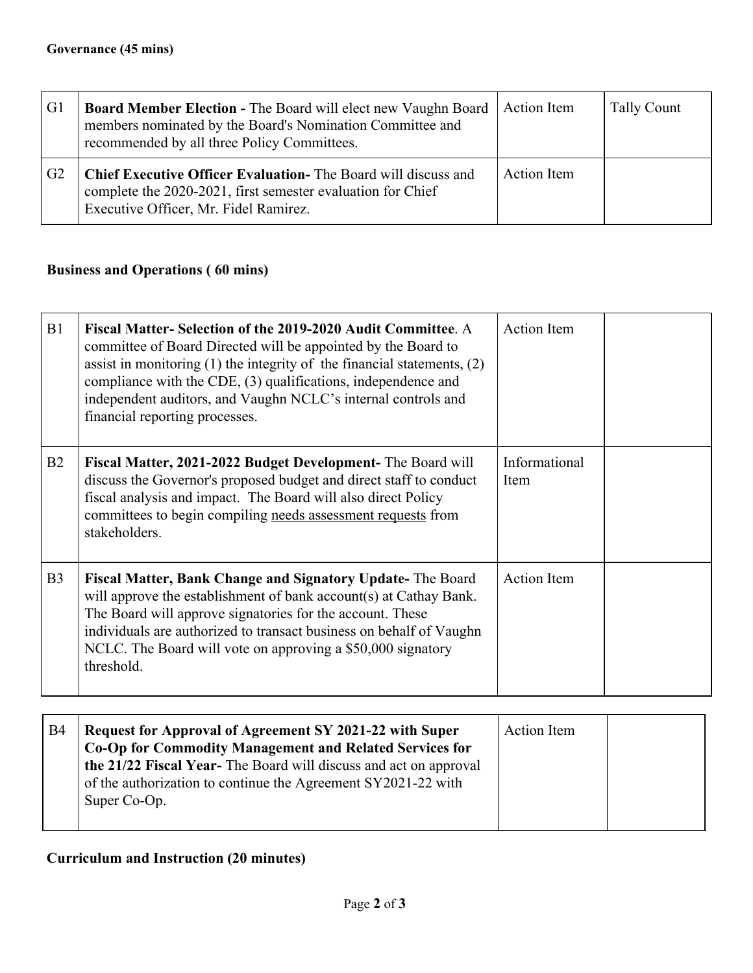| G1             | Board Member Election - The Board will elect new Vaughn Board<br>members nominated by the Board's Nomination Committee and<br>recommended by all three Policy Committees.     | <b>Action Item</b> | Tally Count |
|----------------|-------------------------------------------------------------------------------------------------------------------------------------------------------------------------------|--------------------|-------------|
| G <sub>2</sub> | <b>Chief Executive Officer Evaluation-</b> The Board will discuss and<br>complete the 2020-2021, first semester evaluation for Chief<br>Executive Officer, Mr. Fidel Ramirez. | <b>Action</b> Item |             |

## **Business and Operations ( 60 mins)**

| B1             | Fiscal Matter-Selection of the 2019-2020 Audit Committee. A<br>committee of Board Directed will be appointed by the Board to<br>assist in monitoring $(1)$ the integrity of the financial statements, $(2)$<br>compliance with the CDE, (3) qualifications, independence and<br>independent auditors, and Vaughn NCLC's internal controls and<br>financial reporting processes. | Action Item           |
|----------------|---------------------------------------------------------------------------------------------------------------------------------------------------------------------------------------------------------------------------------------------------------------------------------------------------------------------------------------------------------------------------------|-----------------------|
| B2             | Fiscal Matter, 2021-2022 Budget Development- The Board will<br>discuss the Governor's proposed budget and direct staff to conduct<br>fiscal analysis and impact. The Board will also direct Policy<br>committees to begin compiling needs assessment requests from<br>stakeholders.                                                                                             | Informational<br>Item |
| B <sub>3</sub> | Fiscal Matter, Bank Change and Signatory Update-The Board<br>will approve the establishment of bank account(s) at Cathay Bank.<br>The Board will approve signatories for the account. These<br>individuals are authorized to transact business on behalf of Vaughn<br>NCLC. The Board will vote on approving a \$50,000 signatory<br>threshold.                                 | <b>Action</b> Item    |

| B <sub>4</sub> | <b>Request for Approval of Agreement SY 2021-22 with Super</b><br>Co-Op for Commodity Management and Related Services for<br>the 21/22 Fiscal Year-The Board will discuss and act on approval<br>of the authorization to continue the Agreement SY2021-22 with<br>Super Co-Op. | Action Item |  |
|----------------|--------------------------------------------------------------------------------------------------------------------------------------------------------------------------------------------------------------------------------------------------------------------------------|-------------|--|
|                |                                                                                                                                                                                                                                                                                |             |  |

## **Curriculum and Instruction (20 minutes)**